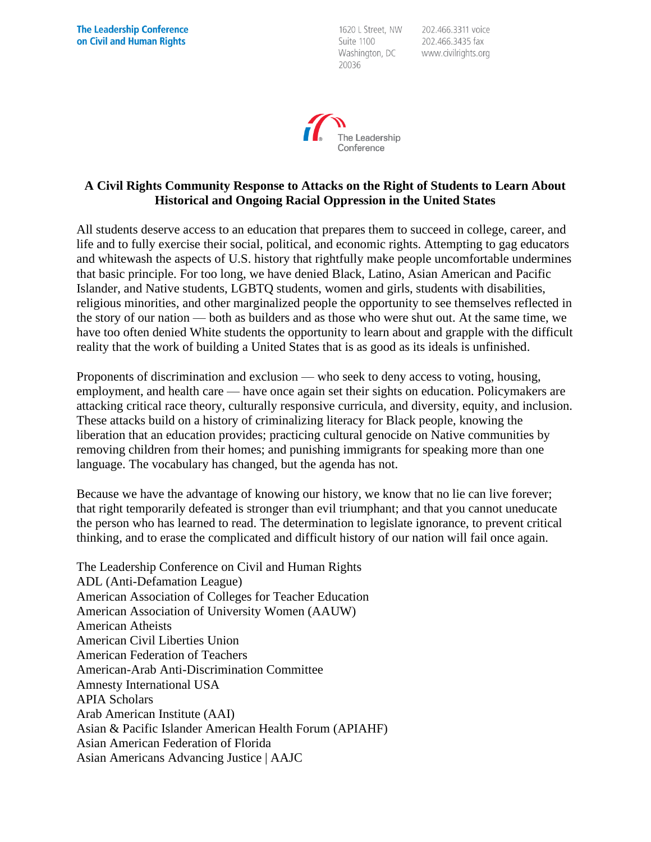1620 L Street, NW Suite 1100 Washington, DC 20036

202.466.3311 voice 202.466.3435 fax www.civilrights.org



## **A Civil Rights Community Response to Attacks on the Right of Students to Learn About Historical and Ongoing Racial Oppression in the United States**

All students deserve access to an education that prepares them to succeed in college, career, and life and to fully exercise their social, political, and economic rights. Attempting to gag educators and whitewash the aspects of U.S. history that rightfully make people uncomfortable undermines that basic principle. For too long, we have denied Black, Latino, Asian American and Pacific Islander, and Native students, LGBTQ students, women and girls, students with disabilities, religious minorities, and other marginalized people the opportunity to see themselves reflected in the story of our nation — both as builders and as those who were shut out. At the same time, we have too often denied White students the opportunity to learn about and grapple with the difficult reality that the work of building a United States that is as good as its ideals is unfinished.

Proponents of discrimination and exclusion — who seek to deny access to voting, housing, employment, and health care — have once again set their sights on education. Policymakers are attacking critical race theory, culturally responsive curricula, and diversity, equity, and inclusion. These attacks build on a history of criminalizing literacy for Black people, knowing the liberation that an education provides; practicing cultural genocide on Native communities by removing children from their homes; and punishing immigrants for speaking more than one language. The vocabulary has changed, but the agenda has not.

Because we have the advantage of knowing our history, we know that no lie can live forever; that right temporarily defeated is stronger than evil triumphant; and that you cannot uneducate the person who has learned to read. The determination to legislate ignorance, to prevent critical thinking, and to erase the complicated and difficult history of our nation will fail once again.

The Leadership Conference on Civil and Human Rights ADL (Anti-Defamation League) American Association of Colleges for Teacher Education American Association of University Women (AAUW) American Atheists American Civil Liberties Union American Federation of Teachers American-Arab Anti-Discrimination Committee Amnesty International USA APIA Scholars Arab American Institute (AAI) Asian & Pacific Islander American Health Forum (APIAHF) Asian American Federation of Florida Asian Americans Advancing Justice | AAJC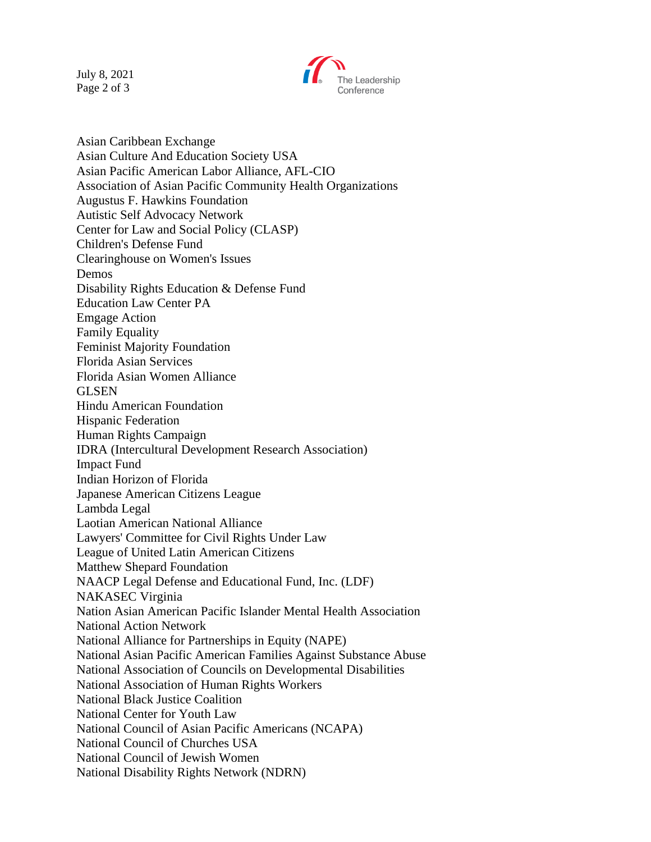July 8, 2021 Page 2 of 3



Asian Caribbean Exchange Asian Culture And Education Society USA Asian Pacific American Labor Alliance, AFL-CIO Association of Asian Pacific Community Health Organizations Augustus F. Hawkins Foundation Autistic Self Advocacy Network Center for Law and Social Policy (CLASP) Children's Defense Fund Clearinghouse on Women's Issues Demos Disability Rights Education & Defense Fund Education Law Center PA Emgage Action Family Equality Feminist Majority Foundation Florida Asian Services Florida Asian Women Alliance GLSEN Hindu American Foundation Hispanic Federation Human Rights Campaign IDRA (Intercultural Development Research Association) Impact Fund Indian Horizon of Florida Japanese American Citizens League Lambda Legal Laotian American National Alliance Lawyers' Committee for Civil Rights Under Law League of United Latin American Citizens Matthew Shepard Foundation NAACP Legal Defense and Educational Fund, Inc. (LDF) NAKASEC Virginia Nation Asian American Pacific Islander Mental Health Association National Action Network National Alliance for Partnerships in Equity (NAPE) National Asian Pacific American Families Against Substance Abuse National Association of Councils on Developmental Disabilities National Association of Human Rights Workers National Black Justice Coalition National Center for Youth Law National Council of Asian Pacific Americans (NCAPA) National Council of Churches USA National Council of Jewish Women National Disability Rights Network (NDRN)